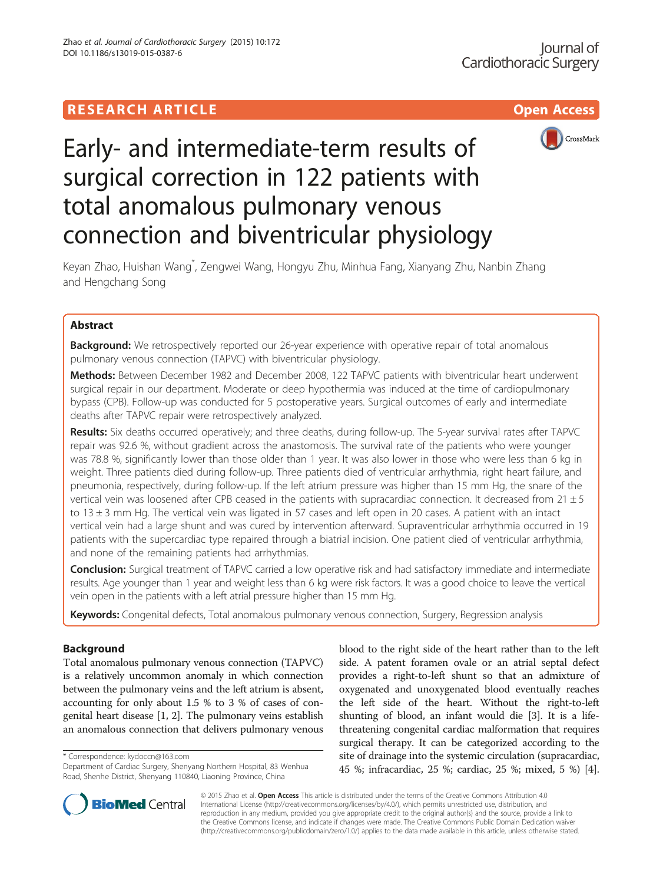# **RESEARCH ARTICLE Example 2018 12:30 THE Open Access**



# Early- and intermediate-term results of surgical correction in 122 patients with total anomalous pulmonary venous connection and biventricular physiology

Keyan Zhao, Huishan Wang<sup>\*</sup>, Zengwei Wang, Hongyu Zhu, Minhua Fang, Xianyang Zhu, Nanbin Zhang and Hengchang Song

# Abstract

**Background:** We retrospectively reported our 26-year experience with operative repair of total anomalous pulmonary venous connection (TAPVC) with biventricular physiology.

Methods: Between December 1982 and December 2008, 122 TAPVC patients with biventricular heart underwent surgical repair in our department. Moderate or deep hypothermia was induced at the time of cardiopulmonary bypass (CPB). Follow-up was conducted for 5 postoperative years. Surgical outcomes of early and intermediate deaths after TAPVC repair were retrospectively analyzed.

Results: Six deaths occurred operatively; and three deaths, during follow-up. The 5-year survival rates after TAPVC repair was 92.6 %, without gradient across the anastomosis. The survival rate of the patients who were younger was 78.8 %, significantly lower than those older than 1 year. It was also lower in those who were less than 6 kg in weight. Three patients died during follow-up. Three patients died of ventricular arrhythmia, right heart failure, and pneumonia, respectively, during follow-up. If the left atrium pressure was higher than 15 mm Hg, the snare of the vertical vein was loosened after CPB ceased in the patients with supracardiac connection. It decreased from 21 ± 5 to  $13 \pm 3$  mm Hg. The vertical vein was ligated in 57 cases and left open in 20 cases. A patient with an intact vertical vein had a large shunt and was cured by intervention afterward. Supraventricular arrhythmia occurred in 19 patients with the supercardiac type repaired through a biatrial incision. One patient died of ventricular arrhythmia, and none of the remaining patients had arrhythmias.

Conclusion: Surgical treatment of TAPVC carried a low operative risk and had satisfactory immediate and intermediate results. Age younger than 1 year and weight less than 6 kg were risk factors. It was a good choice to leave the vertical vein open in the patients with a left atrial pressure higher than 15 mm Hg.

Keywords: Congenital defects, Total anomalous pulmonary venous connection, Surgery, Regression analysis

# Background

Total anomalous pulmonary venous connection (TAPVC) is a relatively uncommon anomaly in which connection between the pulmonary veins and the left atrium is absent, accounting for only about 1.5 % to 3 % of cases of congenital heart disease [\[1](#page-5-0), [2](#page-5-0)]. The pulmonary veins establish an anomalous connection that delivers pulmonary venous

\* Correspondence: [kydoccn@163.com](mailto:kydoccn@163.com)

blood to the right side of the heart rather than to the left side. A patent foramen ovale or an atrial septal defect provides a right-to-left shunt so that an admixture of oxygenated and unoxygenated blood eventually reaches the left side of the heart. Without the right-to-left shunting of blood, an infant would die [[3](#page-5-0)]. It is a lifethreatening congenital cardiac malformation that requires surgical therapy. It can be categorized according to the site of drainage into the systemic circulation (supracardiac, 45 %; infracardiac, 25 %; cardiac, 25 %; mixed, 5 %) [[4](#page-5-0)].



© 2015 Zhao et al. Open Access This article is distributed under the terms of the Creative Commons Attribution 4.0 International License [\(http://creativecommons.org/licenses/by/4.0/](http://creativecommons.org/licenses/by/4.0/)), which permits unrestricted use, distribution, and reproduction in any medium, provided you give appropriate credit to the original author(s) and the source, provide a link to the Creative Commons license, and indicate if changes were made. The Creative Commons Public Domain Dedication waiver [\(http://creativecommons.org/publicdomain/zero/1.0/](http://creativecommons.org/publicdomain/zero/1.0/)) applies to the data made available in this article, unless otherwise stated.

Department of Cardiac Surgery, Shenyang Northern Hospital, 83 Wenhua Road, Shenhe District, Shenyang 110840, Liaoning Province, China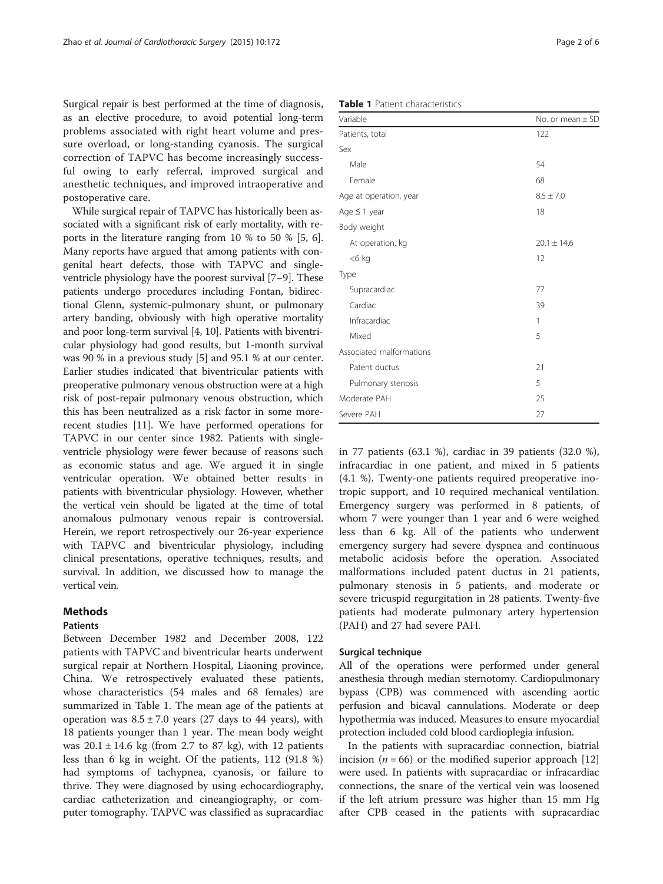Surgical repair is best performed at the time of diagnosis, as an elective procedure, to avoid potential long-term problems associated with right heart volume and pressure overload, or long-standing cyanosis. The surgical correction of TAPVC has become increasingly successful owing to early referral, improved surgical and anesthetic techniques, and improved intraoperative and postoperative care.

While surgical repair of TAPVC has historically been associated with a significant risk of early mortality, with reports in the literature ranging from 10 % to 50 % [[5, 6](#page-5-0)]. Many reports have argued that among patients with congenital heart defects, those with TAPVC and singleventricle physiology have the poorest survival [\[7](#page-5-0)–[9\]](#page-5-0). These patients undergo procedures including Fontan, bidirectional Glenn, systemic-pulmonary shunt, or pulmonary artery banding, obviously with high operative mortality and poor long-term survival [[4, 10\]](#page-5-0). Patients with biventricular physiology had good results, but 1-month survival was 90 % in a previous study [[5\]](#page-5-0) and 95.1 % at our center. Earlier studies indicated that biventricular patients with preoperative pulmonary venous obstruction were at a high risk of post-repair pulmonary venous obstruction, which this has been neutralized as a risk factor in some morerecent studies [[11](#page-5-0)]. We have performed operations for TAPVC in our center since 1982. Patients with singleventricle physiology were fewer because of reasons such as economic status and age. We argued it in single ventricular operation. We obtained better results in patients with biventricular physiology. However, whether the vertical vein should be ligated at the time of total anomalous pulmonary venous repair is controversial. Herein, we report retrospectively our 26-year experience with TAPVC and biventricular physiology, including clinical presentations, operative techniques, results, and survival. In addition, we discussed how to manage the vertical vein.

## Methods

## Patients

Between December 1982 and December 2008, 122 patients with TAPVC and biventricular hearts underwent surgical repair at Northern Hospital, Liaoning province, China. We retrospectively evaluated these patients, whose characteristics (54 males and 68 females) are summarized in Table 1. The mean age of the patients at operation was  $8.5 \pm 7.0$  years (27 days to 44 years), with 18 patients younger than 1 year. The mean body weight was  $20.1 \pm 14.6$  kg (from 2.7 to 87 kg), with 12 patients less than 6 kg in weight. Of the patients, 112 (91.8 %) had symptoms of tachypnea, cyanosis, or failure to thrive. They were diagnosed by using echocardiography, cardiac catheterization and cineangiography, or computer tomography. TAPVC was classified as supracardiac

| Page 2 of 6 |
|-------------|
|-------------|

| Variable                 | No. or mean $\pm$ SD |
|--------------------------|----------------------|
| Patients, total          | 122                  |
| Sex                      |                      |
| Male                     | 54                   |
| Female                   | 68                   |
| Age at operation, year   | $8.5 \pm 7.0$        |
| Age $\leq$ 1 year        | 18                   |
| Body weight              |                      |
| At operation, kg         | $20.1 \pm 14.6$      |
| $<$ 6 kg                 | 12                   |
| Type                     |                      |
| Supracardiac             | 77                   |
| Cardiac                  | 39                   |
| Infracardiac             | 1                    |
| Mixed                    | 5                    |
| Associated malformations |                      |
| Patent ductus            | 21                   |
| Pulmonary stenosis       | 5                    |
| Moderate PAH             | 25                   |
| Severe PAH               | 27                   |

in 77 patients (63.1 %), cardiac in 39 patients (32.0 %), infracardiac in one patient, and mixed in 5 patients (4.1 %). Twenty-one patients required preoperative inotropic support, and 10 required mechanical ventilation. Emergency surgery was performed in 8 patients, of whom 7 were younger than 1 year and 6 were weighed less than 6 kg. All of the patients who underwent emergency surgery had severe dyspnea and continuous metabolic acidosis before the operation. Associated malformations included patent ductus in 21 patients, pulmonary stenosis in 5 patients, and moderate or severe tricuspid regurgitation in 28 patients. Twenty-five patients had moderate pulmonary artery hypertension (PAH) and 27 had severe PAH.

#### Surgical technique

All of the operations were performed under general anesthesia through median sternotomy. Cardiopulmonary bypass (CPB) was commenced with ascending aortic perfusion and bicaval cannulations. Moderate or deep hypothermia was induced. Measures to ensure myocardial protection included cold blood cardioplegia infusion.

In the patients with supracardiac connection, biatrial incision ( $n = 66$ ) or the modified superior approach [[12](#page-5-0)] were used. In patients with supracardiac or infracardiac connections, the snare of the vertical vein was loosened if the left atrium pressure was higher than 15 mm Hg after CPB ceased in the patients with supracardiac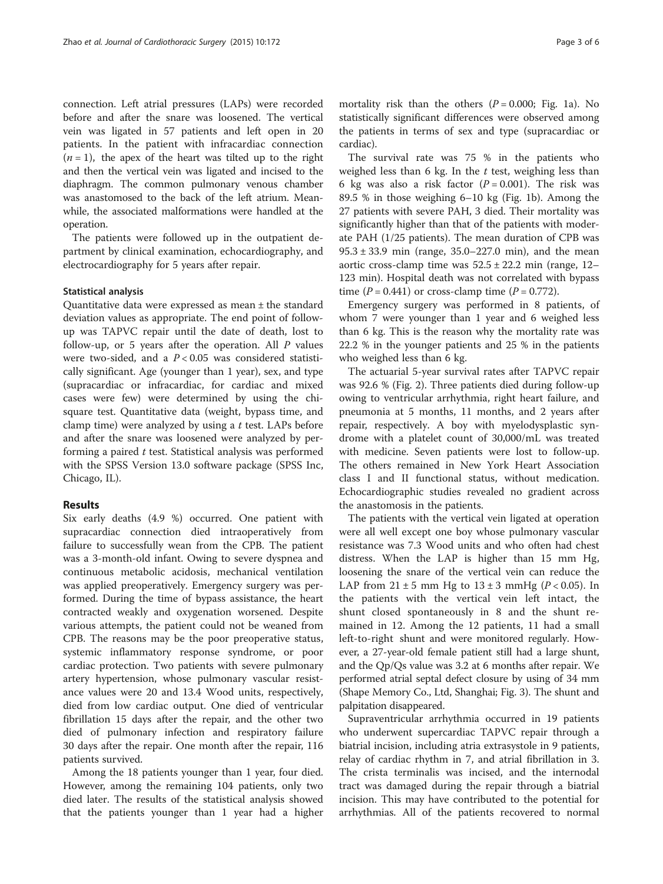connection. Left atrial pressures (LAPs) were recorded before and after the snare was loosened. The vertical vein was ligated in 57 patients and left open in 20 patients. In the patient with infracardiac connection  $(n = 1)$ , the apex of the heart was tilted up to the right and then the vertical vein was ligated and incised to the diaphragm. The common pulmonary venous chamber was anastomosed to the back of the left atrium. Meanwhile, the associated malformations were handled at the operation.

The patients were followed up in the outpatient department by clinical examination, echocardiography, and electrocardiography for 5 years after repair.

### Statistical analysis

Quantitative data were expressed as mean ± the standard deviation values as appropriate. The end point of followup was TAPVC repair until the date of death, lost to follow-up, or 5 years after the operation. All  *values* were two-sided, and a  $P < 0.05$  was considered statistically significant. Age (younger than 1 year), sex, and type (supracardiac or infracardiac, for cardiac and mixed cases were few) were determined by using the chisquare test. Quantitative data (weight, bypass time, and clamp time) were analyzed by using a  $t$  test. LAPs before and after the snare was loosened were analyzed by performing a paired  $t$  test. Statistical analysis was performed with the SPSS Version 13.0 software package (SPSS Inc, Chicago, IL).

## Results

Six early deaths (4.9 %) occurred. One patient with supracardiac connection died intraoperatively from failure to successfully wean from the CPB. The patient was a 3-month-old infant. Owing to severe dyspnea and continuous metabolic acidosis, mechanical ventilation was applied preoperatively. Emergency surgery was performed. During the time of bypass assistance, the heart contracted weakly and oxygenation worsened. Despite various attempts, the patient could not be weaned from CPB. The reasons may be the poor preoperative status, systemic inflammatory response syndrome, or poor cardiac protection. Two patients with severe pulmonary artery hypertension, whose pulmonary vascular resistance values were 20 and 13.4 Wood units, respectively, died from low cardiac output. One died of ventricular fibrillation 15 days after the repair, and the other two died of pulmonary infection and respiratory failure 30 days after the repair. One month after the repair, 116 patients survived.

Among the 18 patients younger than 1 year, four died. However, among the remaining 104 patients, only two died later. The results of the statistical analysis showed that the patients younger than 1 year had a higher mortality risk than the others  $(P = 0.000;$  Fig. [1a\)](#page-3-0). No statistically significant differences were observed among the patients in terms of sex and type (supracardiac or cardiac).

The survival rate was 75 % in the patients who weighed less than 6 kg. In the  $t$  test, weighing less than 6 kg was also a risk factor  $(P = 0.001)$ . The risk was 89.5 % in those weighing 6–10 kg (Fig. [1b\)](#page-3-0). Among the 27 patients with severe PAH, 3 died. Their mortality was significantly higher than that of the patients with moderate PAH (1/25 patients). The mean duration of CPB was  $95.3 \pm 33.9$  min (range,  $35.0 - 227.0$  min), and the mean aortic cross-clamp time was  $52.5 \pm 22.2$  min (range, 12– 123 min). Hospital death was not correlated with bypass time  $(P = 0.441)$  or cross-clamp time  $(P = 0.772)$ .

Emergency surgery was performed in 8 patients, of whom 7 were younger than 1 year and 6 weighed less than 6 kg. This is the reason why the mortality rate was 22.2 % in the younger patients and 25 % in the patients who weighed less than 6 kg.

The actuarial 5-year survival rates after TAPVC repair was 92.6 % (Fig. [2](#page-3-0)). Three patients died during follow-up owing to ventricular arrhythmia, right heart failure, and pneumonia at 5 months, 11 months, and 2 years after repair, respectively. A boy with myelodysplastic syndrome with a platelet count of 30,000/mL was treated with medicine. Seven patients were lost to follow-up. The others remained in New York Heart Association class I and II functional status, without medication. Echocardiographic studies revealed no gradient across the anastomosis in the patients.

The patients with the vertical vein ligated at operation were all well except one boy whose pulmonary vascular resistance was 7.3 Wood units and who often had chest distress. When the LAP is higher than 15 mm Hg, loosening the snare of the vertical vein can reduce the LAP from  $21 \pm 5$  mm Hg to  $13 \pm 3$  mmHg (P < 0.05). In the patients with the vertical vein left intact, the shunt closed spontaneously in 8 and the shunt remained in 12. Among the 12 patients, 11 had a small left-to-right shunt and were monitored regularly. However, a 27-year-old female patient still had a large shunt, and the Qp/Qs value was 3.2 at 6 months after repair. We performed atrial septal defect closure by using of 34 mm (Shape Memory Co., Ltd, Shanghai; Fig. [3\)](#page-4-0). The shunt and palpitation disappeared.

Supraventricular arrhythmia occurred in 19 patients who underwent supercardiac TAPVC repair through a biatrial incision, including atria extrasystole in 9 patients, relay of cardiac rhythm in 7, and atrial fibrillation in 3. The crista terminalis was incised, and the internodal tract was damaged during the repair through a biatrial incision. This may have contributed to the potential for arrhythmias. All of the patients recovered to normal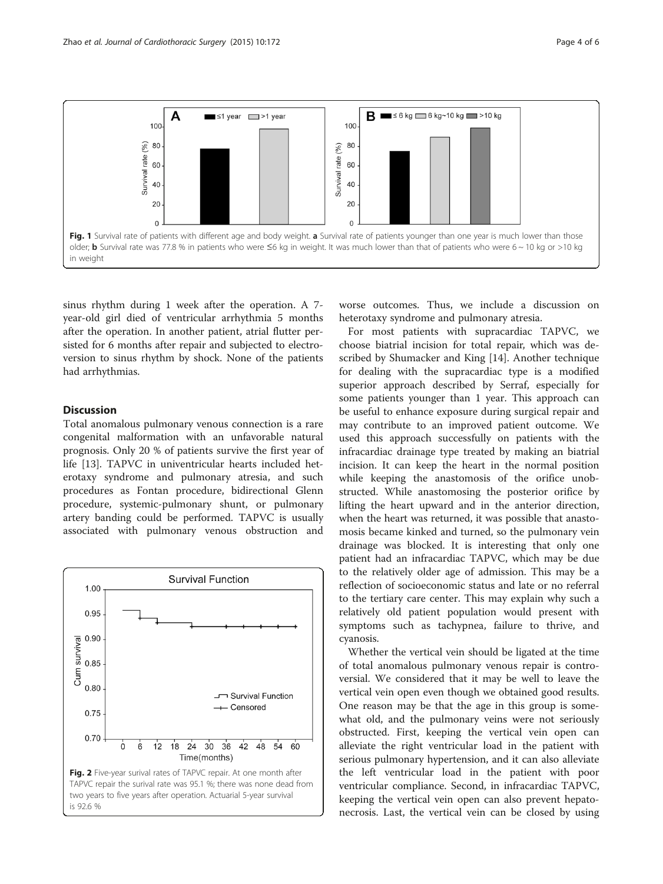<span id="page-3-0"></span>

sinus rhythm during 1 week after the operation. A 7 year-old girl died of ventricular arrhythmia 5 months after the operation. In another patient, atrial flutter persisted for 6 months after repair and subjected to electroversion to sinus rhythm by shock. None of the patients had arrhythmias.

## Discussion

Total anomalous pulmonary venous connection is a rare congenital malformation with an unfavorable natural prognosis. Only 20 % of patients survive the first year of life [\[13](#page-5-0)]. TAPVC in univentricular hearts included heterotaxy syndrome and pulmonary atresia, and such procedures as Fontan procedure, bidirectional Glenn procedure, systemic-pulmonary shunt, or pulmonary artery banding could be performed. TAPVC is usually associated with pulmonary venous obstruction and



worse outcomes. Thus, we include a discussion on heterotaxy syndrome and pulmonary atresia.

For most patients with supracardiac TAPVC, we choose biatrial incision for total repair, which was described by Shumacker and King [[14](#page-5-0)]. Another technique for dealing with the supracardiac type is a modified superior approach described by Serraf, especially for some patients younger than 1 year. This approach can be useful to enhance exposure during surgical repair and may contribute to an improved patient outcome. We used this approach successfully on patients with the infracardiac drainage type treated by making an biatrial incision. It can keep the heart in the normal position while keeping the anastomosis of the orifice unobstructed. While anastomosing the posterior orifice by lifting the heart upward and in the anterior direction, when the heart was returned, it was possible that anastomosis became kinked and turned, so the pulmonary vein drainage was blocked. It is interesting that only one patient had an infracardiac TAPVC, which may be due to the relatively older age of admission. This may be a reflection of socioeconomic status and late or no referral to the tertiary care center. This may explain why such a relatively old patient population would present with symptoms such as tachypnea, failure to thrive, and cyanosis.

Whether the vertical vein should be ligated at the time of total anomalous pulmonary venous repair is controversial. We considered that it may be well to leave the vertical vein open even though we obtained good results. One reason may be that the age in this group is somewhat old, and the pulmonary veins were not seriously obstructed. First, keeping the vertical vein open can alleviate the right ventricular load in the patient with serious pulmonary hypertension, and it can also alleviate the left ventricular load in the patient with poor ventricular compliance. Second, in infracardiac TAPVC, keeping the vertical vein open can also prevent hepatonecrosis. Last, the vertical vein can be closed by using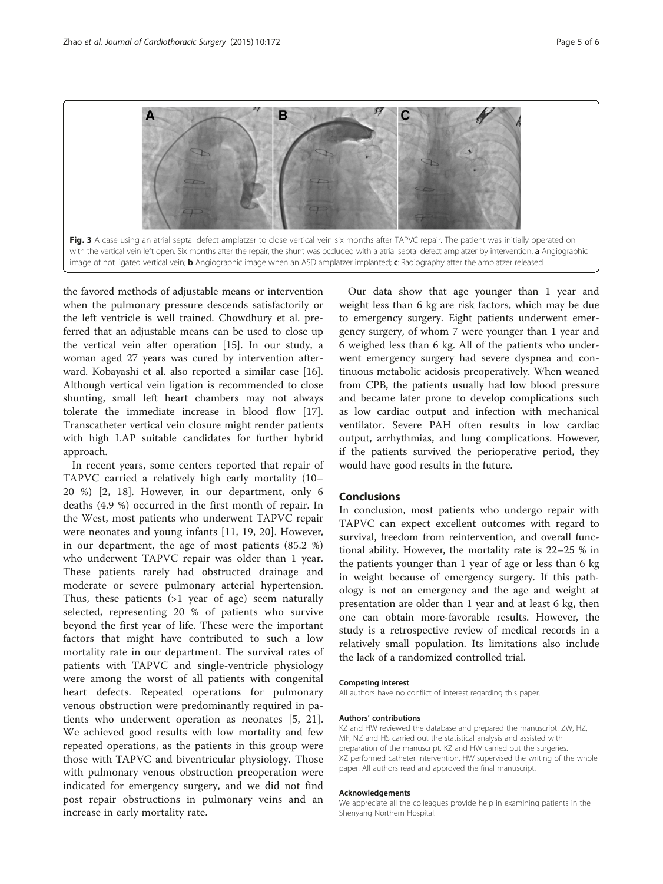<span id="page-4-0"></span>

the favored methods of adjustable means or intervention when the pulmonary pressure descends satisfactorily or the left ventricle is well trained. Chowdhury et al. preferred that an adjustable means can be used to close up the vertical vein after operation [\[15\]](#page-5-0). In our study, a woman aged 27 years was cured by intervention afterward. Kobayashi et al. also reported a similar case [\[16](#page-5-0)]. Although vertical vein ligation is recommended to close shunting, small left heart chambers may not always tolerate the immediate increase in blood flow [\[17](#page-5-0)]. Transcatheter vertical vein closure might render patients with high LAP suitable candidates for further hybrid approach.

In recent years, some centers reported that repair of TAPVC carried a relatively high early mortality (10– 20 %) [[2, 18](#page-5-0)]. However, in our department, only 6 deaths (4.9 %) occurred in the first month of repair. In the West, most patients who underwent TAPVC repair were neonates and young infants [[11](#page-5-0), [19, 20](#page-5-0)]. However, in our department, the age of most patients (85.2 %) who underwent TAPVC repair was older than 1 year. These patients rarely had obstructed drainage and moderate or severe pulmonary arterial hypertension. Thus, these patients (>1 year of age) seem naturally selected, representing 20 % of patients who survive beyond the first year of life. These were the important factors that might have contributed to such a low mortality rate in our department. The survival rates of patients with TAPVC and single-ventricle physiology were among the worst of all patients with congenital heart defects. Repeated operations for pulmonary venous obstruction were predominantly required in patients who underwent operation as neonates [[5, 21](#page-5-0)]. We achieved good results with low mortality and few repeated operations, as the patients in this group were those with TAPVC and biventricular physiology. Those with pulmonary venous obstruction preoperation were indicated for emergency surgery, and we did not find post repair obstructions in pulmonary veins and an increase in early mortality rate.

Our data show that age younger than 1 year and weight less than 6 kg are risk factors, which may be due to emergency surgery. Eight patients underwent emergency surgery, of whom 7 were younger than 1 year and 6 weighed less than 6 kg. All of the patients who underwent emergency surgery had severe dyspnea and continuous metabolic acidosis preoperatively. When weaned from CPB, the patients usually had low blood pressure and became later prone to develop complications such as low cardiac output and infection with mechanical ventilator. Severe PAH often results in low cardiac output, arrhythmias, and lung complications. However, if the patients survived the perioperative period, they would have good results in the future.

# Conclusions

In conclusion, most patients who undergo repair with TAPVC can expect excellent outcomes with regard to survival, freedom from reintervention, and overall functional ability. However, the mortality rate is 22–25 % in the patients younger than 1 year of age or less than 6 kg in weight because of emergency surgery. If this pathology is not an emergency and the age and weight at presentation are older than 1 year and at least 6 kg, then one can obtain more-favorable results. However, the study is a retrospective review of medical records in a relatively small population. Its limitations also include the lack of a randomized controlled trial.

#### Competing interest

All authors have no conflict of interest regarding this paper.

#### Authors' contributions

KZ and HW reviewed the database and prepared the manuscript. ZW, HZ, MF, NZ and HS carried out the statistical analysis and assisted with preparation of the manuscript. KZ and HW carried out the surgeries. XZ performed catheter intervention. HW supervised the writing of the whole paper. All authors read and approved the final manuscript.

#### Acknowledgements

We appreciate all the colleagues provide help in examining patients in the Shenyang Northern Hospital.